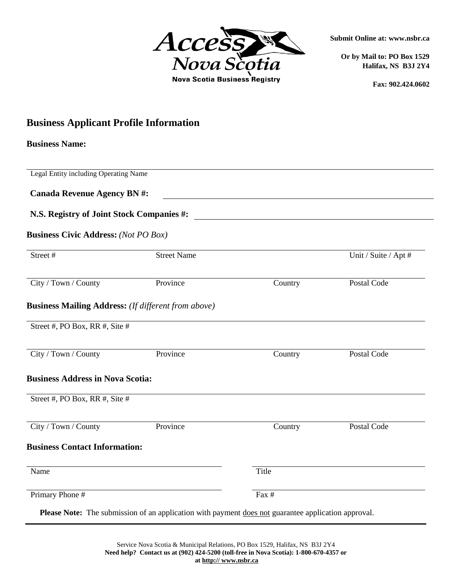

**Submit Online at: [www.nsbr.ca](http://www.nsbr.ca/)**

 **Or by Mail to: PO Box 1529 Halifax, NS B3J 2Y4**

**Fax: 902.424.0602**

# **Business Applicant Profile Information**

| <b>Business Name:</b> |  |
|-----------------------|--|
|-----------------------|--|

| Legal Entity including Operating Name                      |                    |         |                      |
|------------------------------------------------------------|--------------------|---------|----------------------|
| <b>Canada Revenue Agency BN#:</b>                          |                    |         |                      |
| N.S. Registry of Joint Stock Companies #:                  |                    |         |                      |
| <b>Business Civic Address:</b> (Not PO Box)                |                    |         |                      |
| Street#                                                    | <b>Street Name</b> |         | Unit / Suite / Apt # |
| City / Town / County                                       | Province           | Country | Postal Code          |
| <b>Business Mailing Address:</b> (If different from above) |                    |         |                      |
| Street #, PO Box, RR #, Site #                             |                    |         |                      |
| City / Town / County                                       | Province           | Country | Postal Code          |
| <b>Business Address in Nova Scotia:</b>                    |                    |         |                      |
| Street #, PO Box, RR #, Site #                             |                    |         |                      |
| City / Town / County                                       | Province           | Country | Postal Code          |
| <b>Business Contact Information:</b>                       |                    |         |                      |
| Name                                                       |                    | Title   |                      |
| Primary Phone #                                            |                    | Fax $#$ |                      |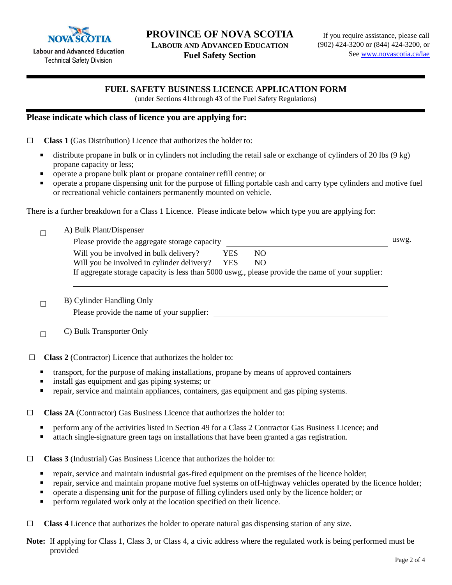

**Labour and Advanced Education** Technical Safety Division

**PROVINCE OF NOVA SCOTIA LABOUR AND ADVANCED EDUCATION Fuel Safety Section**

### **FUEL SAFETY BUSINESS LICENCE APPLICATION FORM**

(under Sections 41through 43 of the Fuel Safety Regulations)

#### **Please indicate which class of licence you are applying for:**

□ **Class 1** (Gas Distribution) Licence that authorizes the holder to:

- distribute propane in bulk or in cylinders not including the retail sale or exchange of cylinders of 20 lbs (9 kg) propane capacity or less;
- operate a propane bulk plant or propane container refill centre; or
- operate a propane dispensing unit for the purpose of filling portable cash and carry type cylinders and motive fuel or recreational vehicle containers permanently mounted on vehicle.

There is a further breakdown for a Class 1 Licence. Please indicate below which type you are applying for:

 $\Box$  A) Bulk Plant/Dispenser

| Please provide the aggregate storage capacity                                                    |      |     | uswg. |
|--------------------------------------------------------------------------------------------------|------|-----|-------|
| Will you be involved in bulk delivery?                                                           | YES  | NO. |       |
| Will you be involved in cylinder delivery?                                                       | YES. | NO. |       |
| If aggregate storage capacity is less than 5000 uswg., please provide the name of your supplier: |      |     |       |

 $\Box$  B) Cylinder Handling Only Please provide the name of your supplier:

- $\Box$  C) Bulk Transporter Only
- □ **Class 2** (Contractor) Licence that authorizes the holder to:
	- **•** transport, for the purpose of making installations, propane by means of approved containers
	- install gas equipment and gas piping systems; or
	- repair, service and maintain appliances, containers, gas equipment and gas piping systems.
- □ **Class 2A** (Contractor) Gas Business Licence that authorizes the holder to:
	- perform any of the activities listed in Section 49 for a Class 2 Contractor Gas Business Licence; and
	- attach single-signature green tags on installations that have been granted a gas registration.

□ **Class 3** (Industrial) Gas Business Licence that authorizes the holder to:

- **•** repair, service and maintain industrial gas-fired equipment on the premises of the licence holder;
- repair, service and maintain propane motive fuel systems on off-highway vehicles operated by the licence holder;
- operate a dispensing unit for the purpose of filling cylinders used only by the licence holder; or
- perform regulated work only at the location specified on their licence.
- □ **Class 4** Licence that authorizes the holder to operate natural gas dispensing station of any size.
- **Note:** If applying for Class 1, Class 3, or Class 4, a civic address where the regulated work is being performed must be provided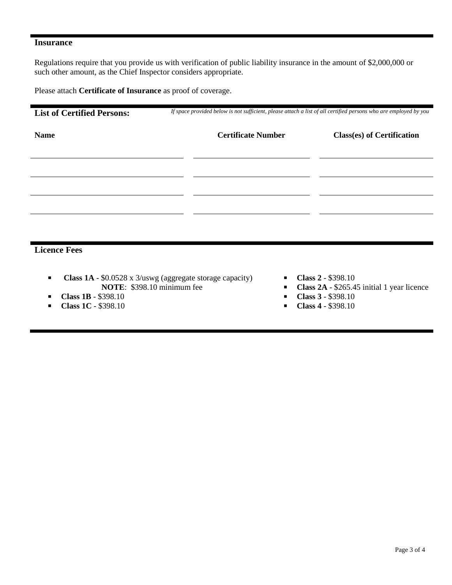#### **Insurance**

Regulations require that you provide us with verification of public liability insurance in the amount of \$2,000,000 or such other amount, as the Chief Inspector considers appropriate.

Please attach **Certificate of Insurance** as proof of coverage.

| <b>List of Certified Persons:</b> | If space provided below is not sufficient, please attach a list of all certified persons who are employed by you                                                                                                                                                                                                                   |                                   |  |  |
|-----------------------------------|------------------------------------------------------------------------------------------------------------------------------------------------------------------------------------------------------------------------------------------------------------------------------------------------------------------------------------|-----------------------------------|--|--|
| <b>Name</b>                       | <b>Certificate Number</b>                                                                                                                                                                                                                                                                                                          | <b>Class(es)</b> of Certification |  |  |
|                                   |                                                                                                                                                                                                                                                                                                                                    |                                   |  |  |
|                                   |                                                                                                                                                                                                                                                                                                                                    |                                   |  |  |
|                                   |                                                                                                                                                                                                                                                                                                                                    |                                   |  |  |
|                                   |                                                                                                                                                                                                                                                                                                                                    |                                   |  |  |
|                                   |                                                                                                                                                                                                                                                                                                                                    |                                   |  |  |
| <b>Licence Fees</b>               |                                                                                                                                                                                                                                                                                                                                    |                                   |  |  |
|                                   | $\mathbf{u}$ $\mathbf{v}$ $\mathbf{v}$ $\mathbf{v}$ $\mathbf{v}$ $\mathbf{v}$ $\mathbf{v}$ $\mathbf{v}$ $\mathbf{v}$ $\mathbf{v}$ $\mathbf{v}$ $\mathbf{v}$ $\mathbf{v}$ $\mathbf{v}$ $\mathbf{v}$ $\mathbf{v}$ $\mathbf{v}$ $\mathbf{v}$ $\mathbf{v}$ $\mathbf{v}$ $\mathbf{v}$ $\mathbf{v}$ $\mathbf{v}$ $\mathbf{v}$ $\mathbf{$ |                                   |  |  |

- **Class 1A** \$0.0528 x 3/uswg (aggregate storage capacity) **NOTE**: \$398.10 minimum fee
- **Class 1B** \$398.10
- **Class 1C** \$398.10
- **Class 2** \$398.10
- **Class 2A** \$265.45 initial 1 year licence
- **Class 3** \$398.10
- **Class 4** \$398.10